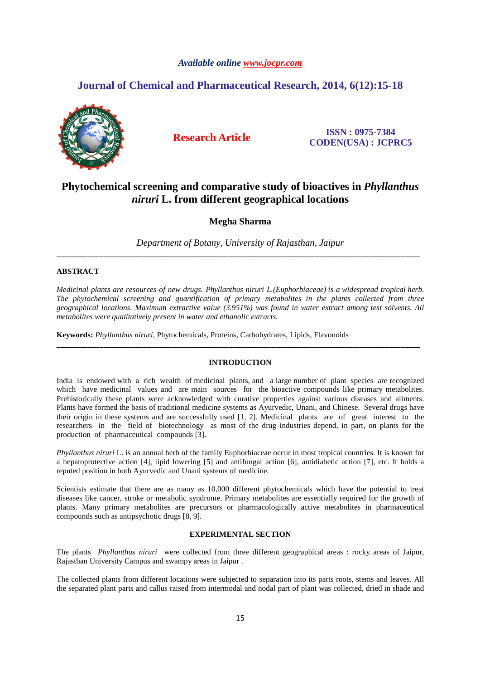## *Available online www.jocpr.com*

## **Journal of Chemical and Pharmaceutical Research, 2014, 6(12):15-18**



**Research Article ISSN : 0975-7384 CODEN(USA) : JCPRC5**

# **Phytochemical screening and comparative study of bioactives in** *Phyllanthus niruri* **L. from different geographical locations**

**Megha Sharma** 

*Department of Botany, University of Rajasthan, Jaipur*  \_\_\_\_\_\_\_\_\_\_\_\_\_\_\_\_\_\_\_\_\_\_\_\_\_\_\_\_\_\_\_\_\_\_\_\_\_\_\_\_\_\_\_\_\_\_\_\_\_\_\_\_\_\_\_\_\_\_\_\_\_\_\_\_\_\_\_\_\_\_\_\_\_\_\_\_\_\_\_\_\_\_\_\_\_\_\_\_\_\_\_\_\_

## **ABSTRACT**

*Medicinal plants are resources of new drugs. Phyllanthus niruri L.(Euphorbiaceae) is a widespread tropical herb. The phytochemical screening and quantification of primary metabolites in the plants collected from three geographical locations. Maximum extractive value (3.951%) was found in water extract among test solvents. All metabolites were qualitatively present in water and ethanolic extracts.* 

**Keywords:** *Phyllanthus niruri,* Phytochemicals, Proteins, Carbohydrates, Lipids, Flavonoids

### **INTRODUCTION**

\_\_\_\_\_\_\_\_\_\_\_\_\_\_\_\_\_\_\_\_\_\_\_\_\_\_\_\_\_\_\_\_\_\_\_\_\_\_\_\_\_\_\_\_\_\_\_\_\_\_\_\_\_\_\_\_\_\_\_\_\_\_\_\_\_\_\_\_\_\_\_\_\_\_\_\_\_\_\_\_\_\_\_\_\_\_\_\_\_\_\_\_\_

India is endowed with a rich wealth of medicinal plants, and a large number of plant species are recognized which have medicinal values and are main sources for the bioactive compounds like primary metabolites. Prehistorically these plants were acknowledged with curative properties against various diseases and aliments. Plants have formed the basis of traditional medicine systems as Ayurvedic, Unani, and Chinese. Several drugs have their origin in these systems and are successfully used [1, 2]. Medicinal plants are of great interest to the researchers in the field of biotechnology as most of the drug industries depend, in part, on plants for the production of pharmaceutical compounds [3].

*Phyllanthus niruri* L. is an annual herb of the family Euphorbiaceae occur in most tropical countries. It is known for a hepatoprotective action [4], lipid lowering [5] and antifungal action [6], antidiabetic action [7], etc. It holds a reputed position in both Ayurvedic and Unani systems of medicine.

Scientists estimate that there are as many as 10,000 different phytochemicals which have the potential to treat diseases like cancer, stroke or metabolic syndrome. Primary metabolites are essentially required for the growth of plants. Many primary metabolites are precursors or pharmacologically active metabolites in pharmaceutical compounds such as antipsychotic drugs [8, 9].

## **EXPERIMENTAL SECTION**

The plants *Phyllanthus niruri* were collected from three different geographical areas : rocky areas of Jaipur, Rajasthan University Campus and swampy areas in Jaipur .

The collected plants from different locations were subjected to separation into its parts roots, stems and leaves. All the separated plant parts and callus raised from intermodal and nodal part of plant was collected, dried in shade and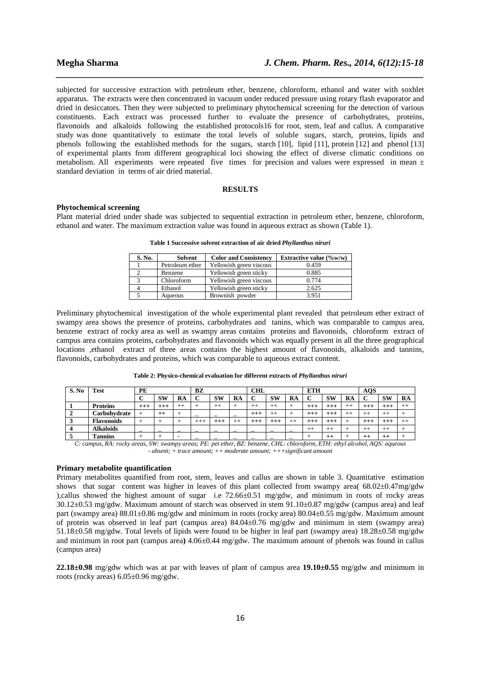subjected for successive extraction with petroleum ether, benzene, chloroform, ethanol and water with soxhlet apparatus. The extracts were then concentrated in vacuum under reduced pressure using rotary flash evaporator and dried in desiccators. Then they were subjected to preliminary phytochemical screening for the detection of various constituents. Each extract was processed further to evaluate the presence of carbohydrates, proteins, flavonoids and alkaloids following the established protocols16 for root, stem, leaf and callus. A comparative study was done quantitatively to estimate the total levels of soluble sugars, starch, proteins, lipids and phenols following the established methods for the sugars, starch [10], lipid [11], protein [12] and phenol [13] of experimental plants from different geographical loci showing the effect of diverse climatic conditions on metabolism. All experiments were repeated five times for precision and values were expressed in mean  $\pm$ standard deviation in terms of air dried material.

*\_\_\_\_\_\_\_\_\_\_\_\_\_\_\_\_\_\_\_\_\_\_\_\_\_\_\_\_\_\_\_\_\_\_\_\_\_\_\_\_\_\_\_\_\_\_\_\_\_\_\_\_\_\_\_\_\_\_\_\_\_\_\_\_\_\_\_\_\_\_\_\_\_\_\_\_\_\_*

## **RESULTS**

#### **Phytochemical screening**

Plant material dried under shade was subjected to sequential extraction in petroleum ether, benzene, chloroform, ethanol and water. The maximum extraction value was found in aqueous extract as shown (Table 1).

| S. No. | Solvent         | <b>Color and Consistency</b> | Extractive value $(\%w/w)$ |
|--------|-----------------|------------------------------|----------------------------|
|        | Petroleum ether | Yellowish green viscous      | 0.459                      |
|        | Benzene         | Yellowish green sticky       | 0.885                      |
|        | Chloroform      | Yellowish green viscous      | 0.774                      |
|        | Ethanol         | Yellowish green sticky       | 2.625                      |
|        | Aqueous         | Brownish powder              | 3.951                      |

**Table 1 Successive solvent extraction of air dried** *Phyllanthus niruri* 

Preliminary phytochemical investigation of the whole experimental plant revealed that petroleum ether extract of swampy area shows the presence of proteins, carbohydrates and tanins, which was comparable to campus area, benzene extract of rocky area as well as swampy areas contains proteins and flavonoids, chloroform extract of campus area contains proteins, carbohydrates and flavonoids which was equally present in all the three geographical locations ,ethanol extract of three areas contains the highest amount of flavonoids, alkaloids and tannins, flavonoids, carbohydrates and proteins, which was comparable to aqueous extract content.

| S. No | <b>Test</b>       | PE                       |           |       | BZ              |           |       | <b>CHL</b> |           |       | <b>ETH</b>   |           |         | AOS            |         |         |
|-------|-------------------|--------------------------|-----------|-------|-----------------|-----------|-------|------------|-----------|-------|--------------|-----------|---------|----------------|---------|---------|
|       |                   |                          | <b>SW</b> | RA    | ⌒               | <b>SW</b> | RA    | ⌒          | <b>SW</b> | RA    | ⌒            | <b>SW</b> | RA      | ◡              | SW      | RA      |
|       | <b>Proteins</b>   | $+++$                    | $^{+++}$  | $+ +$ |                 | $^{++}$   |       | $^{++}$    | $^{++}$   |       | +++<br>T T " | $+++$     | $^{++}$ | $++$           | $++$    | $^{++}$ |
|       | Carbohvdrate      |                          | $^{++}$   |       | -               | -         |       | $^{+++}$   | $^{++}$   |       | $^{++}$      | $^{+++}$  | $++$    | $^{++}$        | $^{++}$ |         |
|       | <b>Flavonoids</b> |                          |           |       | $^{+++}$<br>. . | $^{+++}$  | $+ +$ | $^{+++}$   | $^{+++}$  | $+ +$ | $^{++}$      | $^{+++}$  |         | $+ + +$<br>┲┲╕ | $++-$   | $+ +$   |
|       | <b>Alkaloids</b>  | $\overline{\phantom{a}}$ |           | -     |                 |           | -     |            |           |       | $+ +$        | $++$      |         | $^{++}$        | $^{++}$ |         |
|       | <b>Tannins</b>    |                          |           |       |                 |           |       |            |           |       |              | $^{++}$   |         | $^{++}$        | $++$    |         |

**Table 2: Physico-chemical evaluation for different extracts of** *Phyllanthus niruri* 

*C: campus, RA: rocky areas, SW: swampy areas; PE: pet ether, BZ: benzene, CHL: chloroform, ETH: ethyl alcohol, AQS: aqueous - absent; + trace amount; ++ moderate amount; +++significant amount* 

### **Primary metabolite quantification**

Primary metabolites quantified from root, stem, leaves and callus are shown in table 3. Quantitative estimation shows that sugar content was higher in leaves of this plant collected from swampy area( 68.02±0.47mg/gdw ),callus showed the highest amount of sugar i.e 72.66±0.51 mg/gdw, and minimum in roots of rocky areas  $30.12\pm0.53$  mg/gdw. Maximum amount of starch was observed in stem  $91.10\pm0.87$  mg/gdw (campus area) and leaf part (swampy area) 88.01±0.86 mg/gdw and minimum in roots (rocky area) 80.04±0.55 mg/gdw. Maximum amount of protein was observed in leaf part (campus area) 84.04±0.76 mg/gdw and minimum in stem (swampy area) 51.18±0.58 mg/gdw. Total levels of lipids were found to be higher in leaf part (swampy area) 18.28±0.58 mg/gdw and minimum in root part (campus area**)** 4.06±0.44 mg/gdw. The maximum amount of phenols was found in callus (campus area)

**22.18±0.98** mg/gdw which was at par with leaves of plant of campus area **19.10±0.55** mg/gdw and minimum in roots (rocky areas) 6.05±0.96 mg/gdw.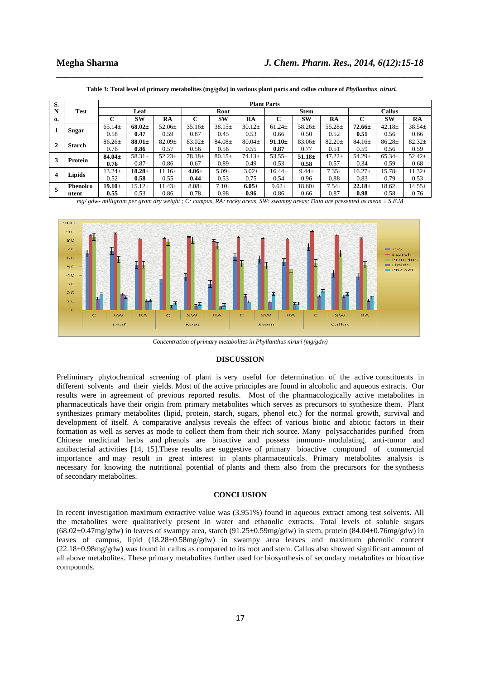| S.               |               | <b>Plant Parts</b> |             |             |             |             |             |              |             |             |               |             |            |
|------------------|---------------|--------------------|-------------|-------------|-------------|-------------|-------------|--------------|-------------|-------------|---------------|-------------|------------|
| N                | <b>Test</b>   | Leaf               |             |             | Root        |             |             | <b>Stem</b>  |             |             | <b>Callus</b> |             |            |
| 0.               |               | С                  | <b>SW</b>   | RA          | C           | <b>SW</b>   | RA          | $\sim$<br>τ. | <b>SW</b>   | RA          | ⌒<br>ι.       | <b>SW</b>   | RA         |
|                  | <b>Sugar</b>  | $65.14 \pm$        | $68.02\pm$  | $52.06 \pm$ | $35.16\pm$  | $38.15+$    | $30.12 \pm$ | $61.24 \pm$  | $58.26 \pm$ | $55.28 \pm$ | $72.66 \pm$   | $42.18 \pm$ | 38.54±     |
|                  |               | 0.58               | 0.47        | 0.59        | 0.87        | 0.45        | 0.53        | 0.66         | 0.50        | 0.52        | 0.51          | 0.56        | 0.66       |
| $\mathbf{2}$     | <b>Starch</b> | $86.26 \pm$        | $88.01 \pm$ | $82.09 \pm$ | $83.02+$    | $84.08 \pm$ | $80.04\pm$  | $91.10 \pm$  | $83.06\pm$  | $82.20 \pm$ | $84.16+$      | $86.28 \pm$ | $82.32+$   |
|                  |               | 0.76               | 0.86        | 0.57        | 0.56        | 0.56        | 0.55        | 0.87         | 0.77        | 0.51        | 0.59          | 0.56        | 0.59       |
| 3                | Protein       | $84.04 \pm$        | $58.31 \pm$ | $52.23 \pm$ | $78.18 \pm$ | $80.15\pm$  | $74.13+$    | $53.55\pm$   | $51.18 \pm$ | $47.22 \pm$ | $54.29 \pm$   | $65.34\pm$  | $52.42+$   |
|                  |               | 0.76               | 0.87        | 0.86        | 0.67        | 0.89        | 0.49        | 0.53         | 0.58        | 0.57        | 0.34          | 0.59        | 0.68       |
| $\boldsymbol{4}$ | Lipids        | $13.24 \pm$        | $18.28 \pm$ | $11.16 \pm$ | $4.06 \pm$  | $5.09\pm$   | $3.02 \pm$  | $16.44 \pm$  | $9.44 \pm$  | $7.35+$     | $16.27 \pm$   | $15.78 \pm$ | $11.32+$   |
|                  |               | 0.52               | 0.58        | 0.55        | 0.44        | 0.53        | 0.75        | 0.54         | 0.96        | 0.88        | 0.83          | 0.79        | 0.53       |
| 5                | Phenolco      | $19.10\pm$         | $15.12+$    | $11.43+$    | $8.08 +$    | $7.10+$     | $6.05 \pm$  | $9.62 \pm$   | $18.60+$    | $7.54+$     | $22.18 \pm$   | $18.62 \pm$ | $14.55\pm$ |
|                  | ntent         | 0.55               | 0.53        | 0.86        | 0.78        | 0.98        | 0.96        | 0.86         | 0.66        | 0.87        | 0.98          | 0.58        | 0.76       |

Table 3: Total level of primary metabolites (mg/gdw) in various plant parts and callus culture of *Phyllanthus niruri.* 

*\_\_\_\_\_\_\_\_\_\_\_\_\_\_\_\_\_\_\_\_\_\_\_\_\_\_\_\_\_\_\_\_\_\_\_\_\_\_\_\_\_\_\_\_\_\_\_\_\_\_\_\_\_\_\_\_\_\_\_\_\_\_\_\_\_\_\_\_\_\_\_\_\_\_\_\_\_\_*

*mg/ gdw- milligram per gram dry weight ; C: campus, RA: rocky areas, SW: swampy areas; Data are presented as mean ± S.E.M* 



*Concentration of primary metabolites in Phyllanthus niruri (mg/gdw)* 

### **DISCUSSION**

Preliminary phytochemical screening of plant is very useful for determination of the active constituents in different solvents and their yields. Most of the active principles are found in alcoholic and aqueous extracts. Our results were in agreement of previous reported results. Most of the pharmacologically active metabolites in pharmaceuticals have their origin from primary metabolites which serves as precursors to synthesize them. Plant synthesizes primary metabolites (lipid, protein, starch, sugars, phenol etc.) for the normal growth, survival and development of itself. A comparative analysis reveals the effect of various biotic and abiotic factors in their formation as well as serves as mode to collect them from their rich source. Many polysaccharides purified from Chinese medicinal herbs and phenols are bioactive and possess immuno- modulating, anti-tumor and antibacterial activities [14, 15].These results are suggestive of primary bioactive compound of commercial importance and may result in great interest in plants pharmaceuticals. Primary metabolites analysis is necessary for knowing the nutritional potential of plants and them also from the precursors for the synthesis of secondary metabolites.

#### **CONCLUSION**

In recent investigation maximum extractive value was (3.951%) found in aqueous extract among test solvents. All the metabolites were qualitatively present in water and ethanolic extracts. Total levels of soluble sugars  $(68.02\pm0.47\text{mg/gdw})$  in leaves of swampy area, starch  $(91.25\pm0.59\text{mg/gdw})$  in stem, protein  $(84.04\pm0.76\text{mg/gdw})$  in leaves of campus, lipid (18.28±0.58mg/gdw) in swampy area leaves and maximum phenolic content (22.18±0.98mg/gdw) was found in callus as compared to its root and stem. Callus also showed significant amount of all above metabolites. These primary metabolites further used for biosynthesis of secondary metabolites or bioactive compounds.